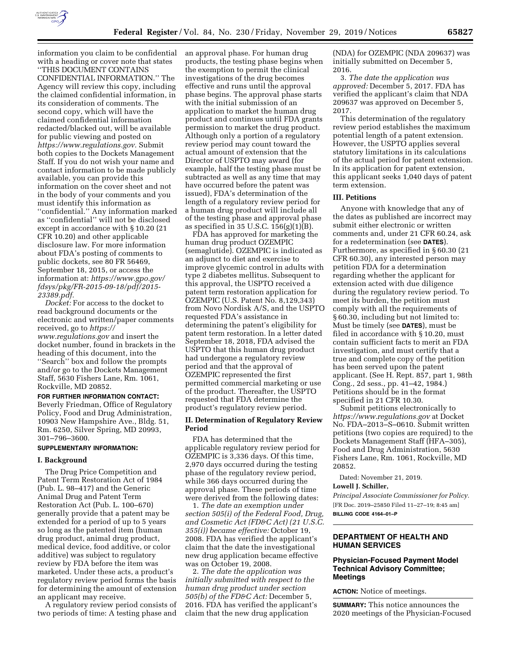

information you claim to be confidential with a heading or cover note that states ''THIS DOCUMENT CONTAINS CONFIDENTIAL INFORMATION.'' The Agency will review this copy, including the claimed confidential information, in its consideration of comments. The second copy, which will have the claimed confidential information redacted/blacked out, will be available for public viewing and posted on *[https://www.regulations.gov.](https://www.regulations.gov)* Submit both copies to the Dockets Management Staff. If you do not wish your name and contact information to be made publicly available, you can provide this information on the cover sheet and not in the body of your comments and you must identify this information as ''confidential.'' Any information marked as ''confidential'' will not be disclosed except in accordance with § 10.20 (21 CFR 10.20) and other applicable disclosure law. For more information about FDA's posting of comments to public dockets, see 80 FR 56469, September 18, 2015, or access the information at: *[https://www.gpo.gov/](https://www.gpo.gov/fdsys/pkg/FR-2015-09-18/pdf/2015-23389.pdf)  [fdsys/pkg/FR-2015-09-18/pdf/2015-](https://www.gpo.gov/fdsys/pkg/FR-2015-09-18/pdf/2015-23389.pdf)  [23389.pdf.](https://www.gpo.gov/fdsys/pkg/FR-2015-09-18/pdf/2015-23389.pdf)* 

*Docket:* For access to the docket to read background documents or the electronic and written/paper comments received, go to *[https://](https://www.regulations.gov) [www.regulations.gov](https://www.regulations.gov)* and insert the docket number, found in brackets in the heading of this document, into the ''Search'' box and follow the prompts and/or go to the Dockets Management Staff, 5630 Fishers Lane, Rm. 1061, Rockville, MD 20852.

### **FOR FURTHER INFORMATION CONTACT:**  Beverly Friedman, Office of Regulatory Policy, Food and Drug Administration, 10903 New Hampshire Ave., Bldg. 51,

Rm. 6250, Silver Spring, MD 20993, 301–796–3600.

### **SUPPLEMENTARY INFORMATION:**

#### **I. Background**

The Drug Price Competition and Patent Term Restoration Act of 1984 (Pub. L. 98–417) and the Generic Animal Drug and Patent Term Restoration Act (Pub. L. 100–670) generally provide that a patent may be extended for a period of up to 5 years so long as the patented item (human drug product, animal drug product, medical device, food additive, or color additive) was subject to regulatory review by FDA before the item was marketed. Under these acts, a product's regulatory review period forms the basis for determining the amount of extension an applicant may receive.

A regulatory review period consists of two periods of time: A testing phase and an approval phase. For human drug products, the testing phase begins when the exemption to permit the clinical investigations of the drug becomes effective and runs until the approval phase begins. The approval phase starts with the initial submission of an application to market the human drug product and continues until FDA grants permission to market the drug product. Although only a portion of a regulatory review period may count toward the actual amount of extension that the Director of USPTO may award (for example, half the testing phase must be subtracted as well as any time that may have occurred before the patent was issued), FDA's determination of the length of a regulatory review period for a human drug product will include all of the testing phase and approval phase as specified in 35 U.S.C. 156(g)(1)(B).

FDA has approved for marketing the human drug product OZEMPIC (semaglutide). OZEMPIC is indicated as an adjunct to diet and exercise to improve glycemic control in adults with type 2 diabetes mellitus. Subsequent to this approval, the USPTO received a patent term restoration application for OZEMPIC (U.S. Patent No. 8,129,343) from Novo Nordisk A/S, and the USPTO requested FDA's assistance in determining the patent's eligibility for patent term restoration. In a letter dated September 18, 2018, FDA advised the USPTO that this human drug product had undergone a regulatory review period and that the approval of OZEMPIC represented the first permitted commercial marketing or use of the product. Thereafter, the USPTO requested that FDA determine the product's regulatory review period.

## **II. Determination of Regulatory Review Period**

FDA has determined that the applicable regulatory review period for OZEMPIC is 3,336 days. Of this time, 2,970 days occurred during the testing phase of the regulatory review period, while 366 days occurred during the approval phase. These periods of time were derived from the following dates:

1. *The date an exemption under section 505(i) of the Federal Food, Drug, and Cosmetic Act (FD&C Act) (21 U.S.C. 355(i)) became effective:* October 19, 2008. FDA has verified the applicant's claim that the date the investigational new drug application became effective was on October 19, 2008.

2. *The date the application was initially submitted with respect to the human drug product under section 505(b) of the FD&C Act:* December 5, 2016. FDA has verified the applicant's claim that the new drug application

(NDA) for OZEMPIC (NDA 209637) was initially submitted on December 5, 2016.

3. *The date the application was approved:* December 5, 2017. FDA has verified the applicant's claim that NDA 209637 was approved on December 5, 2017.

This determination of the regulatory review period establishes the maximum potential length of a patent extension. However, the USPTO applies several statutory limitations in its calculations of the actual period for patent extension. In its application for patent extension, this applicant seeks 1,040 days of patent term extension.

#### **III. Petitions**

Anyone with knowledge that any of the dates as published are incorrect may submit either electronic or written comments and, under 21 CFR 60.24, ask for a redetermination (see **DATES**). Furthermore, as specified in § 60.30 (21 CFR 60.30), any interested person may petition FDA for a determination regarding whether the applicant for extension acted with due diligence during the regulatory review period. To meet its burden, the petition must comply with all the requirements of § 60.30, including but not limited to: Must be timely (see **DATES**), must be filed in accordance with § 10.20, must contain sufficient facts to merit an FDA investigation, and must certify that a true and complete copy of the petition has been served upon the patent applicant. (See H. Rept. 857, part 1, 98th Cong., 2d sess., pp. 41–42, 1984.) Petitions should be in the format specified in 21 CFR 10.30.

Submit petitions electronically to *<https://www.regulations.gov>* at Docket No. FDA–2013–S–0610. Submit written petitions (two copies are required) to the Dockets Management Staff (HFA–305), Food and Drug Administration, 5630 Fishers Lane, Rm. 1061, Rockville, MD 20852.

Dated: November 21, 2019.

## **Lowell J. Schiller,**

*Principal Associate Commissioner for Policy.*  [FR Doc. 2019–25850 Filed 11–27–19; 8:45 am] **BILLING CODE 4164–01–P** 

## **DEPARTMENT OF HEALTH AND HUMAN SERVICES**

### **Physician-Focused Payment Model Technical Advisory Committee; Meetings**

**ACTION:** Notice of meetings.

**SUMMARY:** This notice announces the 2020 meetings of the Physician-Focused